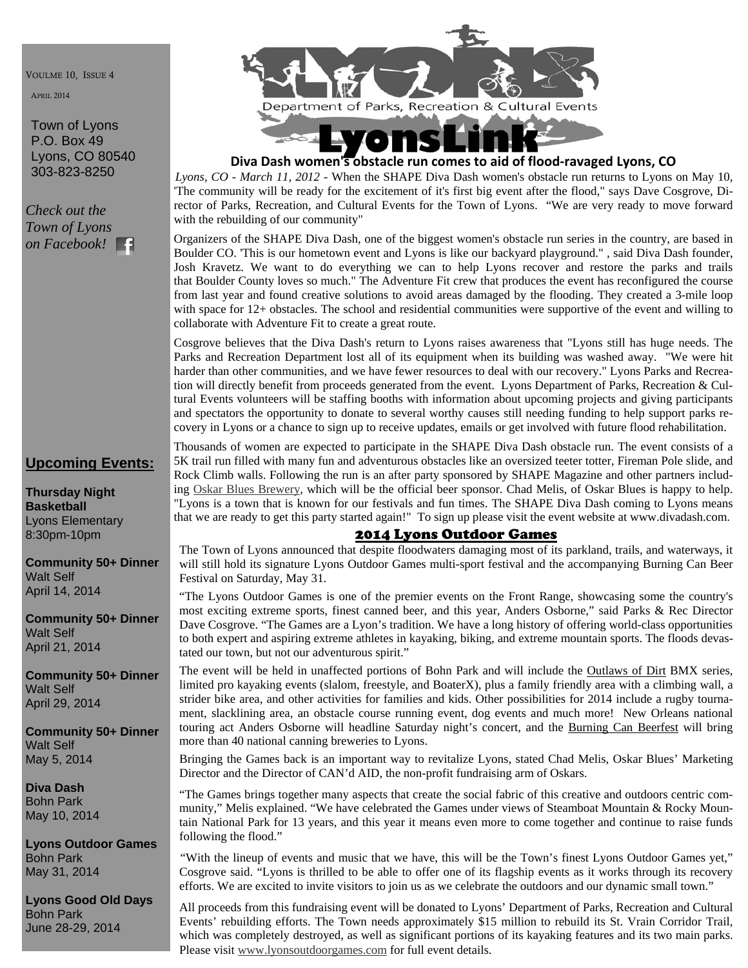VOULME 10, ISSUE 4

APRIL 2014

Town of Lyons P.O. Box 49 Lyons, CO 80540 303-823-8250

*Check out the Town of Lyons on Facebook!* 

# **Upcoming Events:**

**Thursday Night Basketball**  Lyons Elementary 8:30pm-10pm

**Community 50+ Dinner**  Walt Self April 14, 2014

**Community 50+ Dinner**  Walt Self April 21, 2014

**Community 50+ Dinner**  Walt Self April 29, 2014

**Community 50+ Dinner**  Walt Self May 5, 2014

**Diva Dash**  Bohn Park May 10, 2014

**Lyons Outdoor Games**  Bohn Park May 31, 2014

**Lyons Good Old Days**  Bohn Park June 28-29, 2014



# **Diva Dash women's obstacle run comes to aid of flood‐ravaged Lyons, CO**

*Lyons, CO - March 11, 2012* - When the SHAPE Diva Dash women's obstacle run returns to Lyons on May 10, 'The community will be ready for the excitement of it's first big event after the flood," says Dave Cosgrove, Director of Parks, Recreation, and Cultural Events for the Town of Lyons. "We are very ready to move forward with the rebuilding of our community"

Organizers of the SHAPE Diva Dash, one of the biggest women's obstacle run series in the country, are based in Boulder CO. 'This is our hometown event and Lyons is like our backyard playground." , said Diva Dash founder, Josh Kravetz. We want to do everything we can to help Lyons recover and restore the parks and trails that Boulder County loves so much." The Adventure Fit crew that produces the event has reconfigured the course from last year and found creative solutions to avoid areas damaged by the flooding. They created a 3-mile loop with space for 12+ obstacles. The school and residential communities were supportive of the event and willing to collaborate with Adventure Fit to create a great route.

Cosgrove believes that the Diva Dash's return to Lyons raises awareness that "Lyons still has huge needs. The Parks and Recreation Department lost all of its equipment when its building was washed away. "We were hit harder than other communities, and we have fewer resources to deal with our recovery." Lyons Parks and Recreation will directly benefit from proceeds generated from the event. Lyons Department of Parks, Recreation & Cultural Events volunteers will be staffing booths with information about upcoming projects and giving participants and spectators the opportunity to donate to several worthy causes still needing funding to help support parks recovery in Lyons or a chance to sign up to receive updates, emails or get involved with future flood rehabilitation.

Thousands of women are expected to participate in the SHAPE Diva Dash obstacle run. The event consists of a 5K trail run filled with many fun and adventurous obstacles like an oversized teeter totter, Fireman Pole slide, and Rock Climb walls. Following the run is an after party sponsored by SHAPE Magazine and other partners including Oskar Blues Brewery, which will be the official beer sponsor. Chad Melis, of Oskar Blues is happy to help. "Lyons is a town that is known for our festivals and fun times. The SHAPE Diva Dash coming to Lyons means that we are ready to get this party started again!" To sign up please visit the event website at www.divadash.com.

## 2014 Lyons Outdoor Games

The Town of Lyons announced that despite floodwaters damaging most of its parkland, trails, and waterways, it will still hold its signature Lyons Outdoor Games multi-sport festival and the accompanying Burning Can Beer Festival on Saturday, May 31.

"The Lyons Outdoor Games is one of the premier events on the Front Range, showcasing some the country's most exciting extreme sports, finest canned beer, and this year, Anders Osborne," said Parks & Rec Director Dave Cosgrove. "The Games are a Lyon's tradition. We have a long history of offering world-class opportunities to both expert and aspiring extreme athletes in kayaking, biking, and extreme mountain sports. The floods devastated our town, but not our adventurous spirit."

The event will be held in unaffected portions of Bohn Park and will include the Outlaws of Dirt BMX series, limited pro kayaking events (slalom, freestyle, and BoaterX), plus a family friendly area with a climbing wall, a strider bike area, and other activities for families and kids. Other possibilities for 2014 include a rugby tournament, slacklining area, an obstacle course running event, dog events and much more! New Orleans national touring act Anders Osborne will headline Saturday night's concert, and the Burning Can Beerfest will bring more than 40 national canning breweries to Lyons.

Bringing the Games back is an important way to revitalize Lyons, stated Chad Melis, Oskar Blues' Marketing Director and the Director of CAN'd AID, the non-profit fundraising arm of Oskars.

"The Games brings together many aspects that create the social fabric of this creative and outdoors centric community," Melis explained. "We have celebrated the Games under views of Steamboat Mountain & Rocky Mountain National Park for 13 years, and this year it means even more to come together and continue to raise funds following the flood."

"With the lineup of events and music that we have, this will be the Town's finest Lyons Outdoor Games yet," Cosgrove said. "Lyons is thrilled to be able to offer one of its flagship events as it works through its recovery efforts. We are excited to invite visitors to join us as we celebrate the outdoors and our dynamic small town."

All proceeds from this fundraising event will be donated to Lyons' Department of Parks, Recreation and Cultural Events' rebuilding efforts. The Town needs approximately \$15 million to rebuild its St. Vrain Corridor Trail, which was completely destroyed, as well as significant portions of its kayaking features and its two main parks. Please visit www.lyonsoutdoorgames.com for full event details.